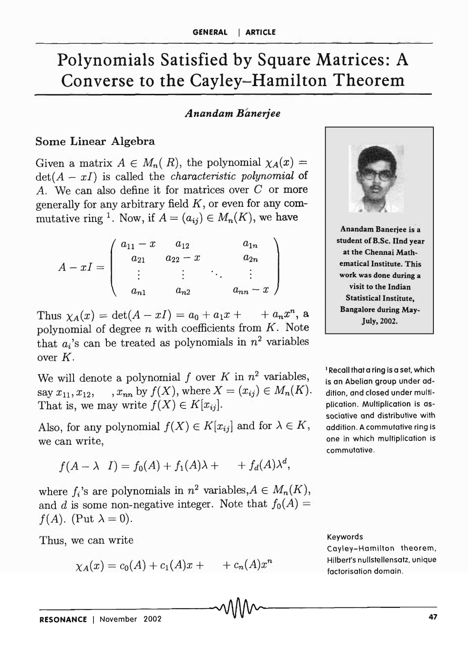# Polynomials Satisfied by Square Matrices: A Converse to the Cayley-Hamilton Theorem

#### *Anandam Banerjee*

#### Some Linear Algebra

Given a matrix  $A \in M_n(R)$ , the polynomial  $\chi_A(x) =$ det(A - *xl)* is called the *characteristic polynomial* of *A.* We can also define it for matrices over C or more generally for any arbitrary field *K,* or even for any commutative ring <sup>1</sup>. Now, if  $A = (a_{ij}) \in M_n(K)$ , we have

$$
A - xI = \begin{pmatrix} a_{11} - x & a_{12} & a_{1n} \\ a_{21} & a_{22} - x & a_{2n} \\ \vdots & \vdots & \ddots & \vdots \\ a_{n1} & a_{n2} & a_{nn} - x \end{pmatrix}
$$

Thus  $\chi_A(x) = \det(A - xI) = a_0 + a_1x + a_nx^n$ , a polynomial of degree *n* with coefficients from *K.* Note that  $a_i$ 's can be treated as polynomials in  $n^2$  variables over *K.* 

We will denote a polynomial  $f$  over  $K$  in  $n^2$  variables, say  $x_{11}, x_{12}, \dots, x_{nn}$  by  $f(X)$ , where  $X = (x_{ij}) \in M_n(K)$ . That is, we may write  $f(X) \in K[x_{ij}]$ .

Also, for any polynomial  $f(X) \in K[x_{ij}]$  and for  $\lambda \in K$ , addition. A commutative ring is we can write,  $\qquad$  one in which multiplication is

$$
f(A - \lambda I) = f_0(A) + f_1(A)\lambda + f_d(A)\lambda^d,
$$

where  $f_i$ 's are polynomials in  $n^2$  variables,  $A \in M_n(K)$ , and d is some non-negative integer. Note that  $f_0(A) =$  $f(A)$ . (Put  $\lambda = 0$ ).

Thus, we can write

$$
\chi_A(x) = c_0(A) + c_1(A)x + \cdots + c_n(A)x^n
$$
 Hilbert's null  
factorisation domain.  
RESONANCE | November 2002



1 Recall that a ring is a set, which is an Abelian group under addition, and closed under multiplication. Multiplication is associative and distributive with commutative.

#### Keywords

Cayley-Hamilton theorem, Hilbert's nullstellensatz, unique factorisation domain.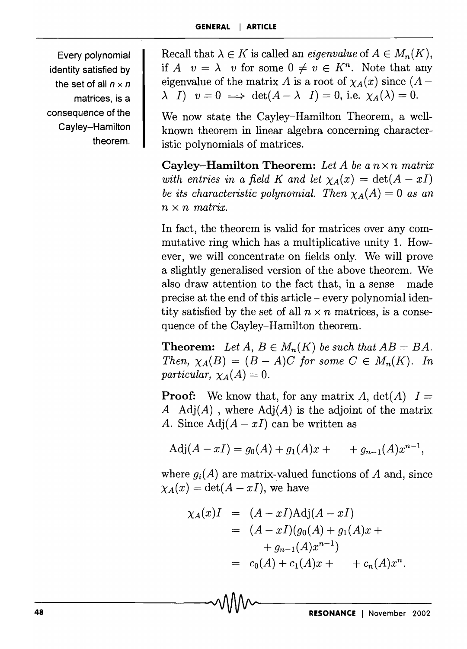Every polynomial identity satisfied by the set of all  $n \times n$ matrices, is a consequence of the Cayley-Hamilton theorem.

Recall that  $\lambda \in K$  is called an *eigenvalue* of  $A \in M_n(K)$ , if *A*  $v = \lambda$  *v* for some  $0 \neq v \in K^n$ . Note that any eigenvalue of the matrix *A* is a root of  $\chi_A(x)$  since  $(A \lambda$  *I)*  $v = 0 \implies \det(A - \lambda I) = 0$ , i.e.  $\chi_A(\lambda) = 0$ .

We now state the Cayley-Hamilton Theorem, a wellknown theorem in linear algebra concerning characteristic polynomials of matrices.

Cayley-Hamilton Theorem: *Let A be a n* x *n matrix with entries in a field K and let*  $\chi_A(x) = \det(A - xI)$ *be its characteristic polynomial. Then*  $\chi_A(A) = 0$  *as an*  $n \times n$  *matrix.* 

In fact, the theorem is valid for matrices over any commutative ring which has a multiplicative unity 1. However, we will concentrate on fields only. We will prove a slightly generalised version of the above theorem. We also draw attention to the fact that, in a sense made precise at the end of this article - every polynomial identity satisfied by the set of all  $n \times n$  matrices, is a consequence of the Cayley-Hamilton theorem.

**Theorem:** Let  $A, B \in M_n(K)$  be such that  $AB = BA$ . *Then,*  $\chi_A(B) = (B - A)C$  *for some*  $C \in M_n(K)$ . *In particular,*  $\chi_A(A) = 0$ .

**Proof:** We know that, for any matrix A,  $det(A)$   $I =$ *A Adj(A)* , where *Adj(A)* is the adjoint of the matrix *A.* Since  $Adj(A - xI)$  can be written as

$$
Adj(A - xI) = g_0(A) + g_1(A)x + \cdots + g_{n-1}(A)x^{n-1},
$$

where  $g_i(A)$  are matrix-valued functions of A and, since  $\chi_A(x) = \det(A - xI)$ , we have

$$
\chi_A(x)I = (A - xI)Adj(A - xI)
$$
  
=  $(A - xI)(g_0(A) + g_1(A)x +$   
+  $g_{n-1}(A)x^{n-1})$   
=  $c_0(A) + c_1(A)x +$  +  $c_n(A)x^n$ .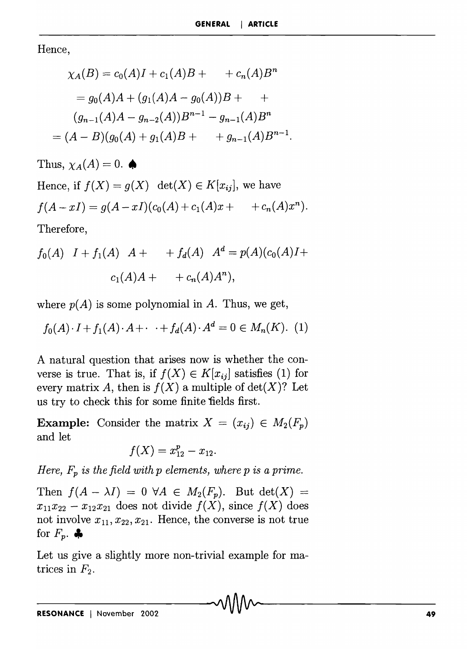.

Hence,

$$
\chi_A(B) = c_0(A)I + c_1(A)B + \cdots + c_n(A)B^n
$$
  
=  $g_0(A)A + (g_1(A)A - g_0(A))B + \cdots$   
 $(g_{n-1}(A)A - g_{n-2}(A))B^{n-1} - g_{n-1}(A)B^n$   
=  $(A - B)(g_0(A) + g_1(A)B + \cdots + g_{n-1}(A)B^{n-1})$ 

Thus,  $\chi_A(A) = 0$ .  $\spadesuit$ 

Hence, if 
$$
f(X) = g(X)
$$
 det $(X) \in K[x_{ij}]$ , we have  
\n $f(A - xI) = g(A - xI)(c_0(A) + c_1(A)x + c_n(A)x^n)$ .

Therefore,

$$
f_0(A)
$$
  $I + f_1(A)$   $A + f_d(A)$   $Ad = p(A)(c_0(A)I + c_1(A)A + + c_n(A)A^n),$ 

where  $p(A)$  is some polynomial in A. Thus, we get,

 $f_0(A) \cdot I + f_1(A) \cdot A + \cdots + f_d(A) \cdot A^d = 0 \in M_n(K)$ . (1)

A natural question that arises now is whether the converse is true. That is, if  $f(X) \in K[x_{ij}]$  satisfies (1) for every matrix A, then is  $f(X)$  a multiple of  $\det(X)$ ? Let us try to check this for some finite 'fields first.

**Example:** Consider the matrix  $X = (x_{ij}) \in M_2(F_p)$ and let

$$
f(X) = x_{12}^p - x_{12}.
$$

*Here,*  $F_p$  *is the field with p elements, where p is a prime.* 

Then  $f(A - \lambda I) = 0 \ \forall A \in M_2(F_p)$ . But det(X) =  $x_{11}x_{22} - x_{12}x_{21}$  does not divide  $f(X)$ , since  $f(X)$  does not involve  $x_{11}, x_{22}, x_{21}$ . Hence, the converse is not true for  $F_p$ .  $\clubsuit$ 

Let us give a slightly more non-trivial example for matrices in  $F_2$ .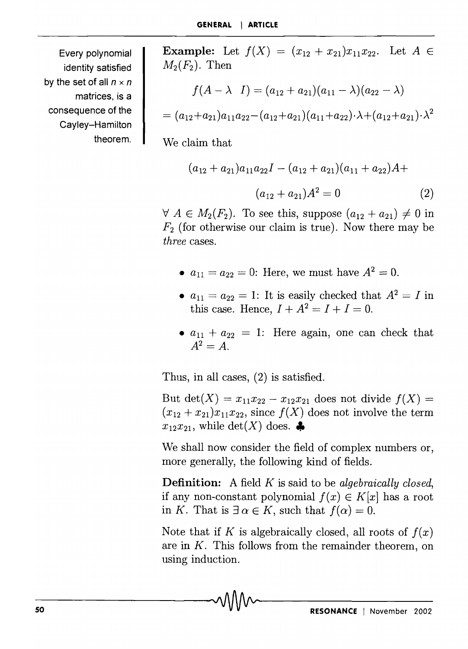Every polynomial identity satisfied by the set of all  $n \times n$ matrices, is a consequence of the Cayley-Hamilton theorem. **Example:** Let  $f(X) = (x_{12} + x_{21})x_{11}x_{22}$ . Let  $A \in$  $M_2(F_2)$ . Then

$$
f(A-\lambda \quad I)=(a_{12}+a_{21})(a_{11}-\lambda)(a_{22}-\lambda)
$$

$$
=(a_{12}+a_{21})a_{11}a_{22}-(a_{12}+a_{21})(a_{11}+a_{22})\cdot\lambda+(a_{12}+a_{21})\cdot\lambda^2
$$

We claim that

$$
(a_{12} + a_{21})a_{11}a_{22}I - (a_{12} + a_{21})(a_{11} + a_{22})A +
$$

$$
(a_{12} + a_{21})A^2 = 0
$$
 (2)

 $\forall A \in M_2(F_2)$ . To see this, suppose  $(a_{12} + a_{21}) \neq 0$  in  $F_2$  (for otherwise our claim is true). Now there may be *three* cases.

- $a_{11} = a_{22} = 0$ : Here, we must have  $A^2 = 0$ .
- $a_{11} = a_{22} = 1$ : It is easily checked that  $A^2 = I$  in this case. Hence,  $I + A^2 = I + I = 0$ .
- $a_{11} + a_{22} = 1$ : Here again, one can check that  $A^2 = A$ .

Thus, in all cases, (2) is satisfied.

But det(X) =  $x_{11}x_{22} - x_{12}x_{21}$  does not divide  $f(X) =$  $(x_{12} + x_{21})x_{11}x_{22}$ , since  $f(X)$  does not involve the term  $x_{12}x_{21}$ , while det(X) does.

We shall now consider the field of complex numbers or, more generally, the following kind of fields.

Definition: A field *K* is said to be *algebraically closed,*  if any non-constant polynomial  $f(x) \in K[x]$  has a root in *K*. That is  $\exists \alpha \in K$ , such that  $f(\alpha) = 0$ .

Note that if *K* is algebraically closed, all roots of  $f(x)$ are in *K.* This follows from the remainder theorem, on using induction.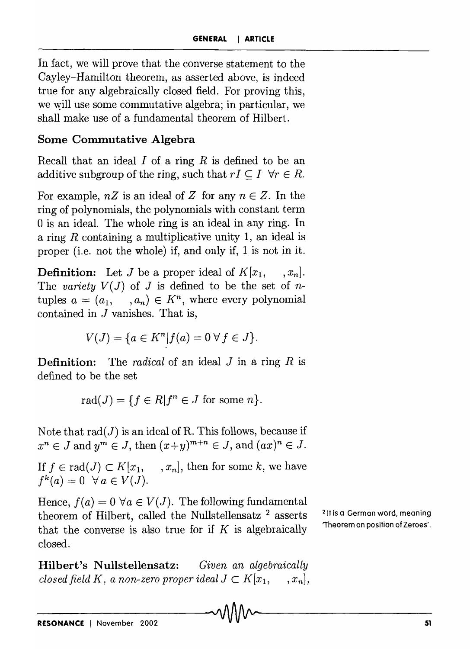In fact, we will prove that the converse statement to the Cayley-Hamilton theorem, as asserted above, is indeed true for any algebraically closed field. For proving this, we will use some commutative algebra; in particular, we shall make use of a fundamental theorem of Hilbert.

### Some Commutative Algebra

Recall that an ideal *I* of a ring *R* is defined to be an additive subgroup of the ring, such that  $rI \subseteq I \ \forall r \in R$ .

For example,  $nZ$  is an ideal of *Z* for any  $n \in Z$ . In the ring of polynomials, the polynomials with constant term o is an ideal. The whole ring is an ideal in any ring. In a ring R containing a multiplicative unity 1, an ideal is proper (i.e. not the whole) if, and only if, 1 is not in it.

**Definition:** Let J be a proper ideal of  $K[x_1, \ldots, x_n]$ . The *variety*  $V(J)$  of *J* is defined to be the set of *n*tuples  $a = (a_1, \dots, a_n) \in K^n$ , where every polynomial contained in J vanishes. That is,

$$
V(J) = \{ a \in K^n | f(a) = 0 \,\forall \, f \in J \}.
$$

Definition: The *radical* of an ideal J in a ring *R* is defined to be the set

rad( $J$ ) = { $f \in R | f^n \in J$  for some *n*}.

Note that  $rad(J)$  is an ideal of R. This follows, because if  $x^n \in J$  and  $y^m \in J$ , then  $(x+y)^{m+n} \in J$ , and  $(ax)^n \in J$ .

If  $f \in rad(J) \subset K[x_1, \dots, x_n]$ , then for some k, we have  $f^k(a) = 0 \ \forall a \in V(J).$ 

Hence,  $f(a) = 0 \ \forall a \in V(J)$ . The following fundamental theorem of Hilbert, called the Nullstellensatz  $2$  asserts that the converse is also true for if  $K$  is algebraically closed.

Hilbert's Nullstellensatz: *Given an algebraically closed field K, a non-zero proper ideal*  $J \subset K[x_1, \ldots, x_n]$ , 21t is a German word, meaning 'Theorem on position of Zeroes'.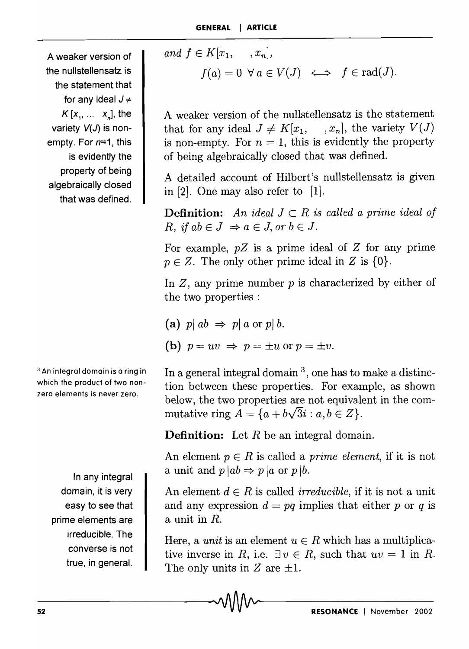A weaker version of the nullstellensatz is the statement that for any ideal  $J \neq$  $K[x_1, \ldots, x_n]$ , the variety  $V(J)$  is nonempty. For  $n=1$ , this is evidently the property of being algebraically closed that was defined.

<sup>3</sup>An integral domain is a ring in which the product of two nonzero elements is never zero.

> In any integral domain, it is very easy to see that prime elements are irreducible. The converse is not true, in general.

and 
$$
f \in K[x_1, \ldots, x_n],
$$
  
\n $f(a) = 0 \ \forall \ a \in V(J) \iff f \in \text{rad}(J).$ 

A weaker version of the nullstellensatz is the statement that for any ideal  $J \neq K[x_1, \dots, x_n]$ , the variety  $V(J)$ is non-empty. For  $n = 1$ , this is evidently the property of being algebraically closed that was defined.

A detailed account of Hilbert's nullstellensatz is given in [2]. One may also refer to [1].

**Definition:** An ideal  $J \subset R$  is called a prime ideal of  $R, if \, ab \in J \Rightarrow a \in J, \, or \, b \in J.$ 

For example,  $pZ$  is a prime ideal of  $Z$  for any prime  $p \in Z$ . The only other prime ideal in Z is  $\{0\}$ .

In  $Z$ , any prime number  $p$  is characterized by either of the two properties :

(a)  $p \mid ab \Rightarrow p \mid a \text{ or } p \mid b$ . (b)  $p = uv \Rightarrow p = \pm u$  or  $p = \pm v$ .

In a general integral domain<sup>3</sup>, one has to make a distinction between these properties. For example, as shown below, the two properties are not equivalent in the commutative ring  $A = \{a + b\sqrt{3}i : a, b \in \mathbb{Z}\}.$ 

**Definition:** Let  $R$  be an integral domain.

An element  $p \in R$  is called a *prime element*, if it is not a unit and  $p|ab \Rightarrow p|a$  or  $p|b$ .

An element  $d \in R$  is called *irreducible*, if it is not a unit and any expression  $d = pq$  implies that either p or q is a unit in *R.* 

Here, a *unit* is an element  $u \in R$  which has a multiplicative inverse in *R*, i.e.  $\exists v \in R$ , such that  $uv = 1$  in *R*. The only units in  $Z$  are  $\pm 1$ .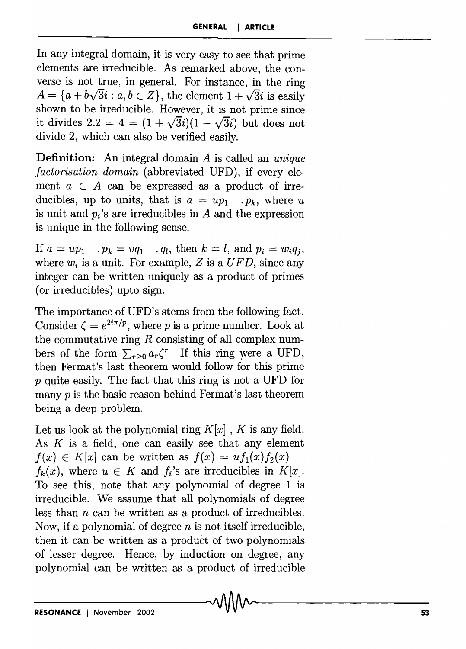In any integral domain, it is very easy to see that prime elements are irreducible. As remarked above, the converse is not true, in general. For instance, in the ring  $A = \{a + b\sqrt{3}i : a, b \in \mathbb{Z}\},\$  the element  $1 + \sqrt{3}i$  is easily shown to be irreducible. However, it is not prime since it divides 2.2 = 4 =  $(1 + \sqrt{3}i)(1 - \sqrt{3}i)$  but does not divide 2, which can also be verified easily.

**Definition:** An integral domain *A* is called an *unique factorisation domain* (abbreviated UFD), if every element  $a \in A$  can be expressed as a product of irreducibles, up to units, that is  $a = up_1$  .  $p_k$ , where u is unit and  $p_i$ 's are irreducibles in  $A$  and the expression is unique in the following sense.

If  $a = up_1$  .  $p_k = vq_1$  .  $q_l$ , then  $k = l$ , and  $p_i = w_iq_i$ , where  $w_i$  is a unit. For example,  $Z$  is a  $UFD$ , since any integer can be written uniquely as a product of primes (or irreducibles) upto sign.

The importance of UFD's stems from the following fact. Consider  $\zeta = e^{2i\pi/p}$ , where *p* is a prime number. Look at the commutative ring  $R$  consisting of all complex numbers of the form  $\sum_{r>0} a_r \zeta^r$  If this ring were a UFD, then Fermat's last theorem would follow for this prime *P* quite easily. The fact that this ring is not a UFD for many *p* is the basic reason behind Fermat's last theorem being a deep problem.

Let us look at the polynomial ring  $K[x]$ , K is any field. As  $K$  is a field, one can easily see that any element  $f(x) \in K[x]$  can be written as  $f(x) = uf_1(x)f_2(x)$  $f_k(x)$ , where  $u \in K$  and  $f_i$ 's are irreducibles in  $K[x]$ . To see this, note that any polynomial of degree 1 is irreducible. We assume that all polynomials of degree less than *n* can be written as a product of irreducibles. Now, if a polynomial of degree *n* is not itself irreducible, then it can be written as a product of two polynomials of lesser degree. Hence, by induction on degree, any polynomial can be written as a product of irreducible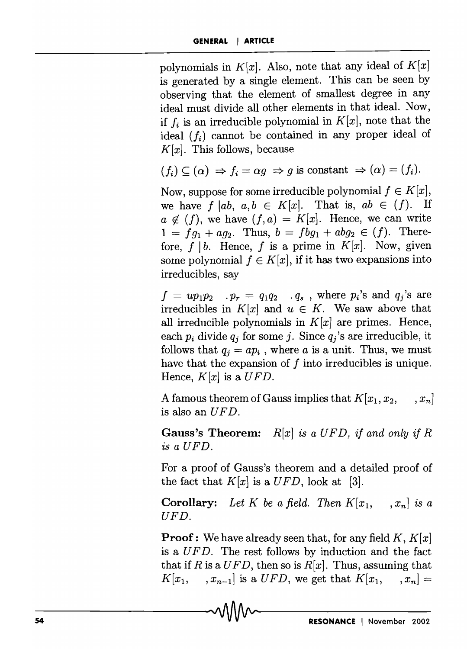polynomials in  $K[x]$ . Also, note that any ideal of  $K[x]$ is generated by a single element. This can be seen by observing that the element of smallest degree in any ideal must divide all other elements in that ideal. Now, if  $f_i$  is an irreducible polynomial in  $K[x]$ , note that the ideal  $(f_i)$  cannot be contained in any proper ideal of  $K[x]$ . This follows, because

$$
(f_i) \subseteq (\alpha) \Rightarrow f_i = \alpha g \Rightarrow g
$$
 is constant  $\Rightarrow (\alpha) = (f_i)$ .

Now, suppose for some irreducible polynomial  $f \in K[x]$ , we have *f*  $|ab, a, b \in K[x]$ . That is,  $ab \in (f)$ . If  $a \notin (f)$ , we have  $(f, a) = K[x]$ . Hence, we can write  $1 = fg_1 + aq_2$ . Thus,  $b = fbg_1 + abg_2 \in (f)$ . Therefore,  $f \mid b$ . Hence, f is a prime in  $K[x]$ . Now, given some polynomial  $f \in K[x]$ , if it has two expansions into irreducibles, say

 $f = up_1p_2$  .  $p_r = q_1q_2$  .  $q_s$ , where  $p_i$ 's and  $q_j$ 's are irreducibles in  $K[x]$  and  $u \in K$ . We saw above that all irreducible polynomials in  $K[x]$  are primes. Hence, each  $p_i$  divide  $q_j$  for some j. Since  $q_j$ 's are irreducible, it follows that  $q_i = ap_i$ , where *a* is a unit. Thus, we must have that the expansion of  $f$  into irreducibles is unique. Hence,  $K[x]$  is a  $UFD$ .

A famous theorem of Gauss implies that  $K[x_1, x_2, ..., x_n]$ is also an *UFD.* 

Gauss's Theorem: *R[x] is a UFD, if and only if R is a UFD.* 

For a proof of Gauss's theorem and a detailed proof of the fact that  $K[x]$  is a  $UFD$ , look at [3].

**Corollary:** Let K be a field. Then  $K[x_1, \ldots, x_n]$  is a *UFD.* 

Proof: We have already seen that, for any field *K, K[x)*  is *aUF D.* The rest follows by induction and the fact that if *R* is a  $UFD$ , then so is  $R[x]$ . Thus, assuming that  $K[x_1, \ldots, x_{n-1}]$  is a *UFD*, we get that  $K[x_1, \ldots, x_n] =$ 

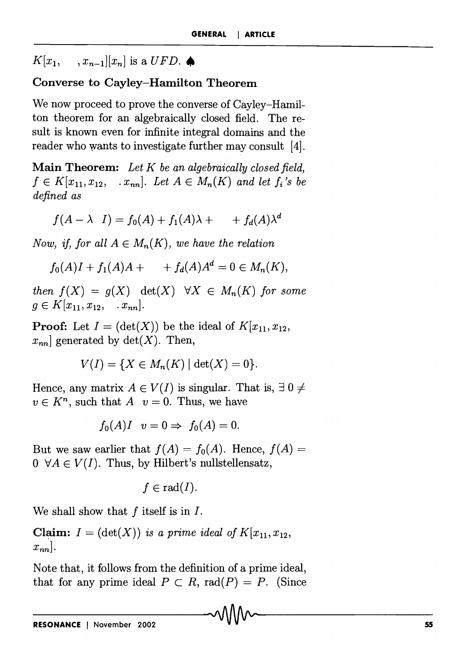$K[x_1,$  $\langle x_{n-1} | [x_n] \rangle$  is a  $UFD$ .

## **Converse to Cayley-Hamilton Theorem**

We now proceed to prove the converse of Cayley-Hamilton theorem for an algebraically closed field. The result is known even for infinite integral domains and the reader who wants to investigate further may consult [4].

**Main Theorem:** *Let K be an algebraically closed field,*   $f \in K[x_{11}, x_{12}, \ldots, x_{nn}]$ . Let  $A \in M_n(K)$  and let  $f_i$ 's be *defined as* 

$$
f(A - \lambda I) = f_0(A) + f_1(A)\lambda + f_d(A)\lambda^d
$$

*Now, if, for all*  $A \in M_n(K)$ *, we have the relation* 

$$
f_0(A)I + f_1(A)A + f_d(A)A^d = 0 \in M_n(K),
$$

*then*  $f(X) = g(X)$   $\det(X)$   $\forall X \in M_n(K)$  for some  $g \in K[x_{11}, x_{12}, \ldots, x_{nn}].$ 

**Proof:** Let  $I = (\det(X))$  be the ideal of  $K[x_{11}, x_{12},$  $x_{nn}$  generated by  $\det(X)$ . Then,

$$
V(I) = \{ X \in M_n(K) \mid \det(X) = 0 \}.
$$

Hence, any matrix  $A \in V(I)$  is singular. That is,  $\exists 0 \neq$  $v \in K<sup>n</sup>$ , such that *A*  $v = 0$ . Thus, we have

$$
f_0(A)I \quad v=0 \Rightarrow f_0(A)=0.
$$

But we saw earlier that  $f(A) = f_0(A)$ . Hence,  $f(A) =$  $0 \ \forall A \in V(I)$ . Thus, by Hilbert's nullstellensatz,

$$
f\in \mathop{\mathrm{rad}}(I).
$$

We shall show that f itself is in *I.* 

**Claim:**  $I = (\det(X))$  *is a prime ideal of*  $K[x_{11}, x_{12}, \ldots]$  $x_{nn}$ .

Note that, it follows from the definition of a prime ideal, that for any prime ideal  $P \subset R$ , rad $(P) = P$ . (Since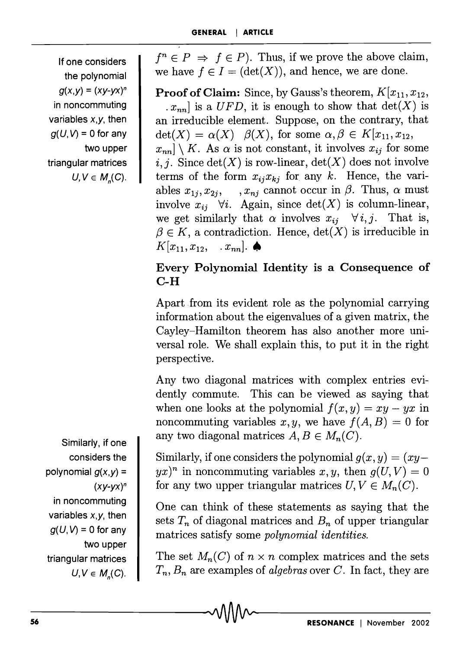If one considers the polynomial  $g(x,y) = (xy-yx)^n$ in noncommuting variables  $x, y$ , then  $q(U, V) = 0$  for any two upper triangular matrices  $U, V \in M_n(C)$ .

Similarly, if one considers the polynomial  $g(x,y) =$  $(xy-yx)^n$ in noncommuting variables  $x, y$ , then  $g(U, V) = 0$  for any two upper triangular matrices  $U, V \in M_n(C)$ .

 $f^{n} \in P \Rightarrow f \in P$ ). Thus, if we prove the above claim, we have  $f \in I = (\det(X))$ , and hence, we are done.

**Proof of Claim:** Since, by Gauss's theorem,  $K[x_{11}, x_{12},$  $[x_{nn}]$  is a *UFD*, it is enough to show that  $det(X)$  is an irreducible element. Suppose, on the contrary, that  $\det(X) = \alpha(X)$   $\beta(X)$ , for some  $\alpha, \beta \in K[x_{11}, x_{12},$  $x_{nn}$   $\mid$   $\mid$  *K.* As  $\alpha$  is not constant, it involves  $x_{ij}$  for some i, j. Since  $det(X)$  is row-linear,  $det(X)$  does not involve terms of the form  $x_{ij}x_{ki}$  for any k. Hence, the variables  $x_{1i}, x_{2i}, \ldots, x_{ni}$  cannot occur in  $\beta$ . Thus,  $\alpha$  must involve  $x_{ij}$   $\forall i$ . Again, since  $\det(X)$  is column-linear, we get similarly that  $\alpha$  involves  $x_{ij}$   $\forall i, j$ . That is,  $\beta \in K$ , a contradiction. Hence,  $\det(X)$  is irreducible in  $K[x_{11}, x_{12}, \ldots, x_{nn}]$ .

## Every Polynomial Identity is a Consequence of C-H

Apart from its evident role as the polynomial carrying information about the eigenvalues of a given matrix, the Cayley-Hamilton theorem has also another more universal role. We shall explain this, to put it in the right perspective.

Any two diagonal matrices with complex entries evidently commute. This can be viewed as saying that when one looks at the polynomial  $f(x, y) = xy - yx$  in noncommuting variables  $x, y$ , we have  $f(A, B) = 0$  for any two diagonal matrices  $A, B \in M_n(C)$ .

Similarly, if one considers the polynomial  $q(x, y) = (xy - y)$  $yx)^n$  in noncommuting variables x, y, then  $g(U, V) = 0$ for any two upper triangular matrices  $U, V \in M_n(C)$ .

One can think of these statements as saying that the sets  $T_n$  of diagonal matrices and  $B_n$  of upper triangular matrices satisfy some *polynomial identities.* 

The set  $M_n(C)$  of  $n \times n$  complex matrices and the sets *Tn, Bn* are examples of *algebras* over *C.* In fact, they are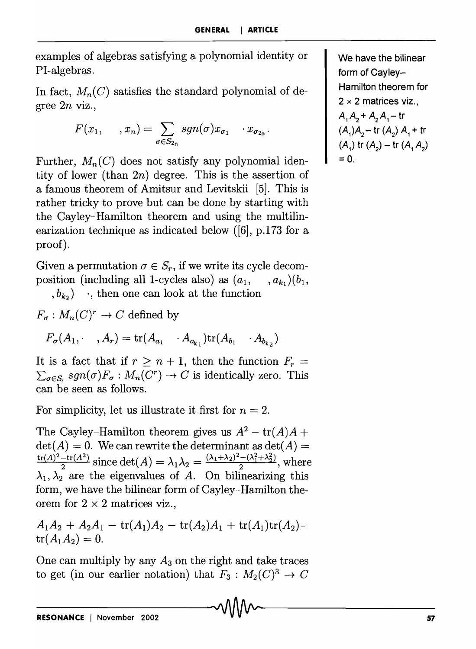examples of algebras satisfying a polynomial identity or PI-algebras.

In fact,  $M_n(C)$  satisfies the standard polynomial of degree *2n* viz.,

$$
F(x_1, \ldots, x_n) = \sum_{\sigma \in S_{2n}} sgn(\sigma) x_{\sigma_1} \cdots x_{\sigma_{2n}}.
$$

Further,  $M_n(C)$  does not satisfy any polynomial identity of lower (than *2n)* degree. This is the assertion of a famous theorem of Amitsur and Levitskii [5]. This is rather tricky to prove but can be done by starting with the Cayley-Hamilton theorem and using the multilinearization technique as indicated below ([6], p.I73 for a proof).

Given a permutation  $\sigma \in S_r$ , if we write its cycle decomposition (including all 1-cycles also) as  $(a_1, \ldots, a_k)(b_1, \ldots, b_k)$  $(b_{k_2})$  , then one can look at the function

$$
F_{\sigma}: M_n(C)^r \to C \text{ defined by}
$$

 $F_{\sigma}(A_1, \cdots, A_r) = \text{tr}(A_{a_1} \cdots A_{a_{k_1}})\text{tr}(A_{b_1} \cdots A_{b_{k_2}})$ 

It is a fact that if  $r \geq n+1$ , then the function  $F_r =$  $\sum_{\sigma \in S_r} sgn(\sigma) F_{\sigma} : M_n(C^r) \to C$  is identically zero. This can be seen as follows.

For simplicity, let us illustrate it first for  $n = 2$ .

The Cayley-Hamilton theorem gives us  $A^2 - \text{tr}(A)A +$  $det(A) = 0$ . We can rewrite the determinant as  $det(A) = 0$  $\frac{\text{tr}(A)^2 - \text{tr}(A^2)}{\text{since } \det(A)} = \lambda_1 \lambda_2 = \frac{(\lambda_1 + \lambda_2)^2 - (\lambda_1^2 + \lambda_2^2)}{\text{where}}$ Cayley–Hamilton theorem gives us  $A^2 - \text{tr}(A)A$ <br>
(1) = 0. We can rewrite the determinant as det(A)<br>  $\frac{-\text{tr}(A^2)}{2}$  since det(A) =  $\lambda_1 \lambda_2 = \frac{(\lambda_1 + \lambda_2)^2 - (\lambda_1^2 + \lambda_2^2)}{2}$ , wh<br>
e are the eigenvalues of A. On bilinear  $\lambda_1, \lambda_2$  are the eigenvalues of *A*. On bilinearizing this form, we have the bilinear form of Cayley-Hamilton theorem for  $2 \times 2$  matrices viz.,

$$
A_1A_2 + A_2A_1 - \text{tr}(A_1)A_2 - \text{tr}(A_2)A_1 + \text{tr}(A_1)\text{tr}(A_2) - \text{tr}(A_1A_2) = 0.
$$

One can multiply by any *A3* on the right and take traces to get (in our earlier notation) that  $F_3: M_2(C)^3 \to C$ 

We have the bilinear form of Cayley-Hamilton theorem for  $2 \times 2$  matrices viz.,  $A_1 A_2 + A_2 A_1 - \text{tr}$  $(A_1)A_2$  – tr  $(A_2)A_1$  + tr  $(A_1)$  tr  $(A_2)$  - tr  $(A_1, A_2)$  $= 0$ .